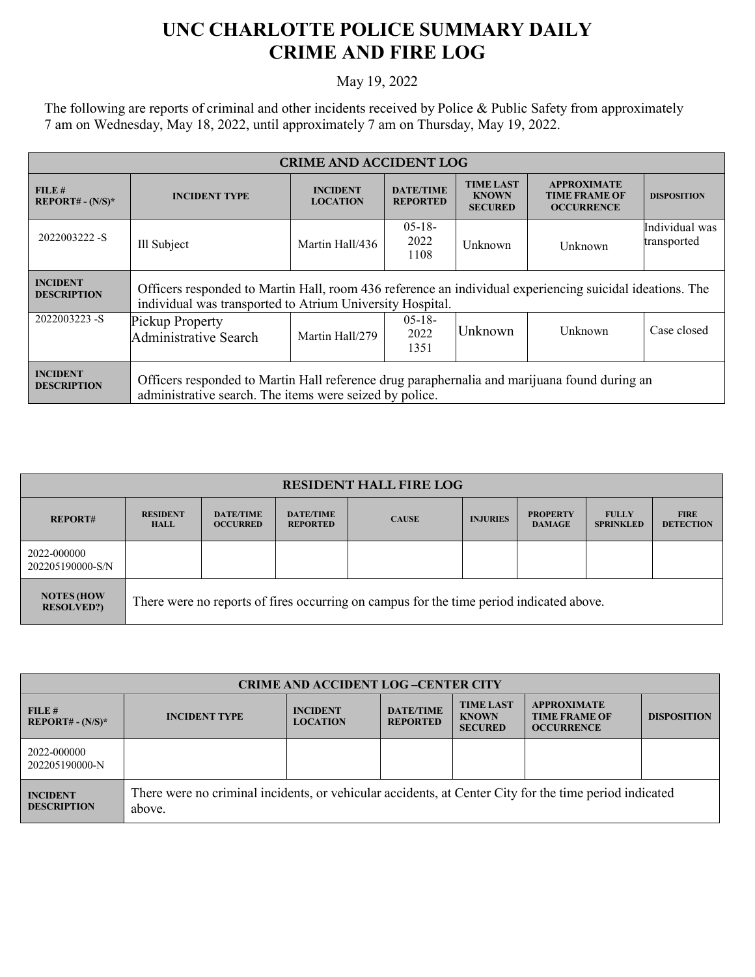## **UNC CHARLOTTE POLICE SUMMARY DAILY CRIME AND FIRE LOG**

May 19, 2022

The following are reports of criminal and other incidents received by Police & Public Safety from approximately 7 am on Wednesday, May 18, 2022, until approximately 7 am on Thursday, May 19, 2022.

| <b>CRIME AND ACCIDENT LOG</b>         |                                                                                                                                                                       |                                    |                                     |                                                    |                                                                 |                    |  |
|---------------------------------------|-----------------------------------------------------------------------------------------------------------------------------------------------------------------------|------------------------------------|-------------------------------------|----------------------------------------------------|-----------------------------------------------------------------|--------------------|--|
| FILE#<br>$REPORT# - (N/S)*$           | <b>INCIDENT TYPE</b>                                                                                                                                                  | <b>INCIDENT</b><br><b>LOCATION</b> | <b>DATE/TIME</b><br><b>REPORTED</b> | <b>TIME LAST</b><br><b>KNOWN</b><br><b>SECURED</b> | <b>APPROXIMATE</b><br><b>TIME FRAME OF</b><br><b>OCCURRENCE</b> | <b>DISPOSITION</b> |  |
| 2022003222 - S                        | Ill Subject                                                                                                                                                           | Martin Hall/436                    | $05-18-$<br>2022<br>1108            | Unknown                                            | Unknown                                                         |                    |  |
| <b>INCIDENT</b><br><b>DESCRIPTION</b> | Officers responded to Martin Hall, room 436 reference an individual experiencing suicidal ideations. The<br>individual was transported to Atrium University Hospital. |                                    |                                     |                                                    |                                                                 |                    |  |
| 2022003223-S                          | Pickup Property<br>Administrative Search                                                                                                                              | Martin Hall/279                    | $0.5 - 1.8 -$<br>2022<br>1351       | Unknown                                            | Unknown                                                         | Case closed        |  |
| <b>INCIDENT</b><br><b>DESCRIPTION</b> | Officers responded to Martin Hall reference drug paraphernalia and marijuana found during an<br>administrative search. The items were seized by police.               |                                    |                                     |                                                    |                                                                 |                    |  |

| <b>RESIDENT HALL FIRE LOG</b>         |                                                                                         |                                     |                                     |              |                 |                                  |                                  |                                 |
|---------------------------------------|-----------------------------------------------------------------------------------------|-------------------------------------|-------------------------------------|--------------|-----------------|----------------------------------|----------------------------------|---------------------------------|
| <b>REPORT#</b>                        | <b>RESIDENT</b><br><b>HALL</b>                                                          | <b>DATE/TIME</b><br><b>OCCURRED</b> | <b>DATE/TIME</b><br><b>REPORTED</b> | <b>CAUSE</b> | <b>INJURIES</b> | <b>PROPERTY</b><br><b>DAMAGE</b> | <b>FULLY</b><br><b>SPRINKLED</b> | <b>FIRE</b><br><b>DETECTION</b> |
| 2022-000000<br>202205190000-S/N       |                                                                                         |                                     |                                     |              |                 |                                  |                                  |                                 |
| <b>NOTES (HOW</b><br><b>RESOLVED?</b> | There were no reports of fires occurring on campus for the time period indicated above. |                                     |                                     |              |                 |                                  |                                  |                                 |

| <b>CRIME AND ACCIDENT LOG-CENTER CITY</b> |                                                                                                                  |                                    |                                     |                                                    |                                                                 |                    |  |
|-------------------------------------------|------------------------------------------------------------------------------------------------------------------|------------------------------------|-------------------------------------|----------------------------------------------------|-----------------------------------------------------------------|--------------------|--|
| FILE#<br>$REPORT# - (N/S)*$               | <b>INCIDENT TYPE</b>                                                                                             | <b>INCIDENT</b><br><b>LOCATION</b> | <b>DATE/TIME</b><br><b>REPORTED</b> | <b>TIME LAST</b><br><b>KNOWN</b><br><b>SECURED</b> | <b>APPROXIMATE</b><br><b>TIME FRAME OF</b><br><b>OCCURRENCE</b> | <b>DISPOSITION</b> |  |
| 2022-000000<br>202205190000-N             |                                                                                                                  |                                    |                                     |                                                    |                                                                 |                    |  |
| <b>INCIDENT</b><br><b>DESCRIPTION</b>     | There were no criminal incidents, or vehicular accidents, at Center City for the time period indicated<br>above. |                                    |                                     |                                                    |                                                                 |                    |  |